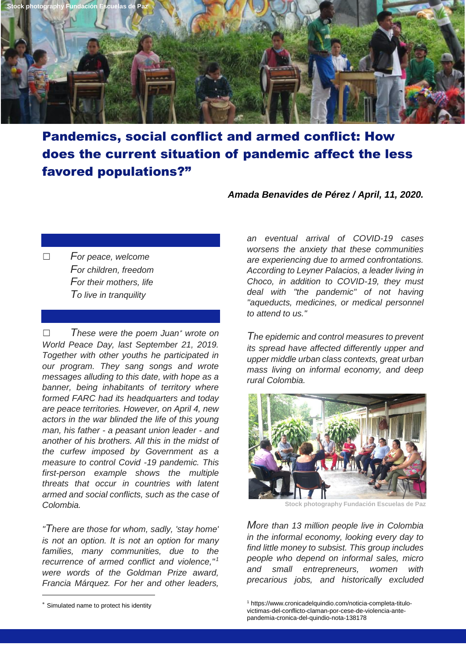

## Pandemics, social conflict and armed conflict: How does the current situation of pandemic affect the less favored populations?"

## *Amada Benavides de Pérez / April, 11, 2020.*

☐ *For peace, welcome For children, freedom For their mothers, life To live in tranquility*

☐ *These were the poem Juan wrote on World Peace Day, last September 21, 2019. Together with other youths he participated in our program. They sang songs and wrote messages alluding to this date, with hope as a banner, being inhabitants of territory where formed FARC had its headquarters and today are peace territories. However, on April 4, new actors in the war blinded the life of this young man, his father - a peasant union leader - and another of his brothers. All this in the midst of the curfew imposed by Government as a measure to control Covid -19 pandemic. This first-person example shows the multiple threats that occur in countries with latent armed and social conflicts, such as the case of Colombia.*

*"There are those for whom, sadly, 'stay home' is not an option. It is not an option for many families, many communities, due to the recurrence of armed conflict and violence," <sup>1</sup> were words of the Goldman Prize award, Francia Márquez. For her and other leaders,* 

-

*an eventual arrival of COVID-19 cases worsens the anxiety that these communities are experiencing due to armed confrontations. According to Leyner Palacios, a leader living in Choco, in addition to COVID-19, they must deal with "the pandemic" of not having "aqueducts, medicines, or medical personnel to attend to us."*

*The epidemic and control measures to prevent its spread have affected differently upper and upper middle urban class contexts, great urban mass living on informal economy, and deep rural Colombia.*



**Stock photography Fundación Escuelas de Paz** 

*More than 13 million people live in Colombia in the informal economy, looking every day to find little money to subsist. This group includes people who depend on informal sales, micro and small entrepreneurs, women with precarious jobs, and historically excluded* 

Simulated name to protect his identity

<sup>1</sup> https://www.cronicadelquindio.com/noticia-completa-titulovictimas-del-conflicto-claman-por-cese-de-violencia-antepandemia-cronica-del-quindio-nota-138178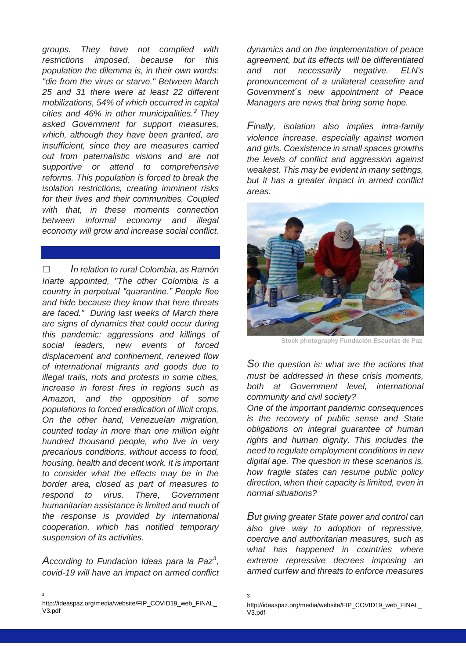*groups. They have not complied with restrictions imposed, because for this population the dilemma is, in their own words: "die from the virus or starve." Between March 25 and 31 there were at least 22 different mobilizations, 54% of which occurred in capital cities and 46% in other municipalities.<sup>2</sup> They asked Government for support measures, which, although they have been granted, are insufficient, since they are measures carried out from paternalistic visions and are not supportive or attend to comprehensive reforms. This population is forced to break the isolation restrictions, creating imminent risks for their lives and their communities. Coupled with that, in these moments connection between informal economy and illegal economy will grow and increase social conflict.*

☐ *In relation to rural Colombia, as Ramón Iriarte appointed, "The other Colombia is a country in perpetual "quarantine." People flee and hide because they know that here threats are faced." During last weeks of March there are signs of dynamics that could occur during this pandemic: aggressions and killings of social leaders, new events of forced displacement and confinement, renewed flow of international migrants and goods due to illegal trails, riots and protests in some cities, increase in forest fires in regions such as Amazon, and the opposition of some populations to forced eradication of illicit crops. On the other hand, Venezuelan migration, counted today in more than one million eight hundred thousand people, who live in very precarious conditions, without access to food, housing, health and decent work. It is important to consider what the effects may be in the border area, closed as part of measures to respond to virus. There, Government humanitarian assistance is limited and much of the response is provided by international cooperation, which has notified temporary suspension of its activities.*

*According to Fundacion Ideas para la Paz<sup>3</sup> , covid-19 will have an impact on armed conflict* 

-2

*dynamics and on the implementation of peace agreement, but its effects will be differentiated and not necessarily negative. ELN's pronouncement of a unilateral ceasefire and Government´s new appointment of Peace Managers are news that bring some hope.*

*Finally, isolation also implies intra-family violence increase, especially against women and girls. Coexistence in small spaces growths the levels of conflict and aggression against weakest. This may be evident in many settings, but it has a greater impact in armed conflict areas.* 



**Stock photography Fundación Escuelas de Paz** 

*So the question is: what are the actions that must be addressed in these crisis moments, both at Government level, international community and civil society?*

*One of the important pandemic consequences is the recovery of public sense and State obligations on integral guarantee of human rights and human dignity. This includes the need to regulate employment conditions in new digital age. The question in these scenarios is, how fragile states can resume public policy direction, when their capacity is limited, even in normal situations?*

*But giving greater State power and control can also give way to adoption of repressive, coercive and authoritarian measures, such as what has happened in countries where extreme repressive decrees imposing an armed curfew and threats to enforce measures* 

http://ideaspaz.org/media/website/FIP\_COVID19\_web\_FINAL\_ V3.pdf

<sup>3</sup>

http://ideaspaz.org/media/website/FIP\_COVID19\_web\_FINAL\_ V3.pdf